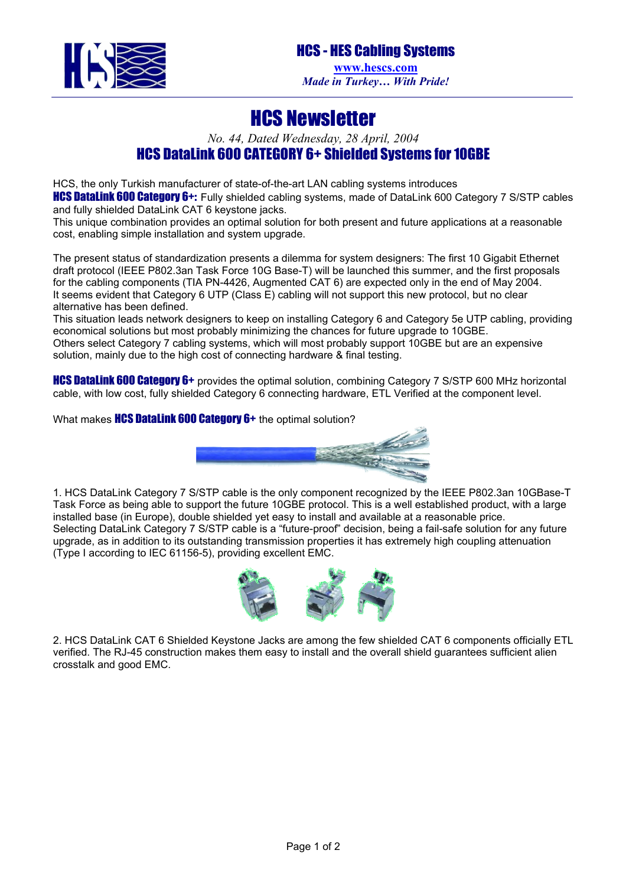

## HCS Newsletter

*No. 44, Dated Wednesday, 28 April, 2004* 

## HCS DataLink 600 CATEGORY 6+ Shielded Systems for 10GBE

HCS, the only Turkish manufacturer of state-of-the-art LAN cabling systems introduces

**HCS DataLink 600 Category 6+:** Fully shielded cabling systems, made of DataLink 600 Category 7 S/STP cables and fully shielded DataLink CAT 6 keystone jacks.

This unique combination provides an optimal solution for both present and future applications at a reasonable cost, enabling simple installation and system upgrade.

The present status of standardization presents a dilemma for system designers: The first 10 Gigabit Ethernet draft protocol (IEEE P802.3an Task Force 10G Base-T) will be launched this summer, and the first proposals for the cabling components (TIA PN-4426, Augmented CAT 6) are expected only in the end of May 2004. It seems evident that Category 6 UTP (Class E) cabling will not support this new protocol, but no clear alternative has been defined.

This situation leads network designers to keep on installing Category 6 and Category 5e UTP cabling, providing economical solutions but most probably minimizing the chances for future upgrade to 10GBE. Others select Category 7 cabling systems, which will most probably support 10GBE but are an expensive solution, mainly due to the high cost of connecting hardware & final testing.

HCS DataLink 600 Category 6+ provides the optimal solution, combining Category 7 S/STP 600 MHz horizontal cable, with low cost, fully shielded Category 6 connecting hardware, ETL Verified at the component level.

What makes **HCS DataLink 600 Category 6+** the optimal solution?



1. HCS DataLink Category 7 S/STP cable is the only component recognized by the IEEE P802.3an 10GBase-T Task Force as being able to support the future 10GBE protocol. This is a well established product, with a large installed base (in Europe), double shielded yet easy to install and available at a reasonable price. Selecting DataLink Category 7 S/STP cable is a "future-proof" decision, being a fail-safe solution for any future upgrade, as in addition to its outstanding transmission properties it has extremely high coupling attenuation (Type I according to IEC 61156-5), providing excellent EMC.



2. HCS DataLink CAT 6 Shielded Keystone Jacks are among the few shielded CAT 6 components officially ETL verified. The RJ-45 construction makes them easy to install and the overall shield guarantees sufficient alien crosstalk and good EMC.